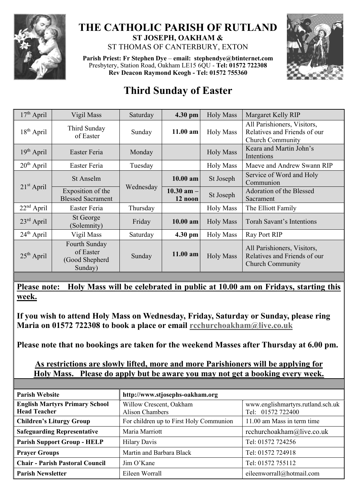

## **THE CATHOLIC PARISH OF RUTLAND ST JOSEPH, OAKHAM &**  ST THOMAS OF CANTERBURY, EXTON

**Parish Priest: Fr Stephen Dye** – **[email: stephendye@btinternet.com](mailto:email:%20%20stephendye@btinternet.com)** Presbytery, Station Road, Oakham LE15 6QU - **Tel: 01572 722308 Rev Deacon Raymond Keogh - Tel: 01572 755360**



## **Third Sunday of Easter**

| $17th$ April | Vigil Mass                                              | Saturday  | 4.30 pm                   | <b>Holy Mass</b> | Margaret Kelly RIP                                                                     |
|--------------|---------------------------------------------------------|-----------|---------------------------|------------------|----------------------------------------------------------------------------------------|
| $18th$ April | Third Sunday<br>of Easter                               | Sunday    | $11.00$ am                | <b>Holy Mass</b> | All Parishioners, Visitors,<br>Relatives and Friends of our<br><b>Church Community</b> |
| $19th$ April | Easter Feria                                            | Monday    |                           | <b>Holy Mass</b> | Keara and Martin John's<br>Intentions                                                  |
| $20th$ April | Easter Feria                                            | Tuesday   |                           | <b>Holy Mass</b> | Maeve and Andrew Swann RIP                                                             |
| $21st$ April | St Anselm                                               | Wednesday | $10.00$ am                | St Joseph        | Service of Word and Holy<br>Communion                                                  |
|              | Exposition of the<br><b>Blessed Sacrament</b>           |           | $10.30$ am $-$<br>12 noon | St Joseph        | Adoration of the Blessed<br>Sacrament                                                  |
| $22nd$ April | Easter Feria                                            | Thursday  |                           | <b>Holy Mass</b> | The Elliott Family                                                                     |
| $23rd$ April | St George<br>(Solemnity)                                | Friday    | 10.00 am                  | <b>Holy Mass</b> | Torah Savant's Intentions                                                              |
| $24th$ April | Vigil Mass                                              | Saturday  | 4.30 pm                   | <b>Holy Mass</b> | Ray Port RIP                                                                           |
| $25th$ April | Fourth Sunday<br>of Easter<br>(Good Shepherd<br>Sunday) | Sunday    | $11.00$ am                | <b>Holy Mass</b> | All Parishioners, Visitors,<br>Relatives and Friends of our<br><b>Church Community</b> |

**Please note: Holy Mass will be celebrated in public at 10.00 am on Fridays, starting this week.**

**If you wish to attend Holy Mass on Wednesday, Friday, Saturday or Sunday, please ring Maria on 01572 722308 to book a place or email [rcchurchoakham@live.co.uk](mailto:rcchurchoakham@live.co.uk)**

**Please note that no bookings are taken for the weekend Masses after Thursday at 6.00 pm.**

## **As restrictions are slowly lifted, more and more Parishioners will be applying for Holy Mass. Please do apply but be aware you may not get a booking every week.**

| <b>Parish Website</b>                  | http://www.stjosephs-oakham.org         |                                   |  |  |
|----------------------------------------|-----------------------------------------|-----------------------------------|--|--|
| <b>English Martyrs Primary School</b>  | Willow Crescent, Oakham                 | www.englishmartyrs.rutland.sch.uk |  |  |
| <b>Head Teacher</b>                    | <b>Alison Chambers</b>                  | Tel: 01572 722400                 |  |  |
| <b>Children's Liturgy Group</b>        | For children up to First Holy Communion | 11.00 am Mass in term time        |  |  |
| <b>Safeguarding Representative</b>     | Maria Marriott                          | rcchurchoakham@live.co.uk         |  |  |
| <b>Parish Support Group - HELP</b>     | <b>Hilary Davis</b>                     | Tel: 01572 724256                 |  |  |
| <b>Prayer Groups</b>                   | Martin and Barbara Black                | Tel: 01572 724918                 |  |  |
| <b>Chair - Parish Pastoral Council</b> | Jim O'Kane                              | Tel: 01572 755112                 |  |  |
| <b>Parish Newsletter</b>               | Eileen Worrall                          | eileenworrall@hotmail.com         |  |  |